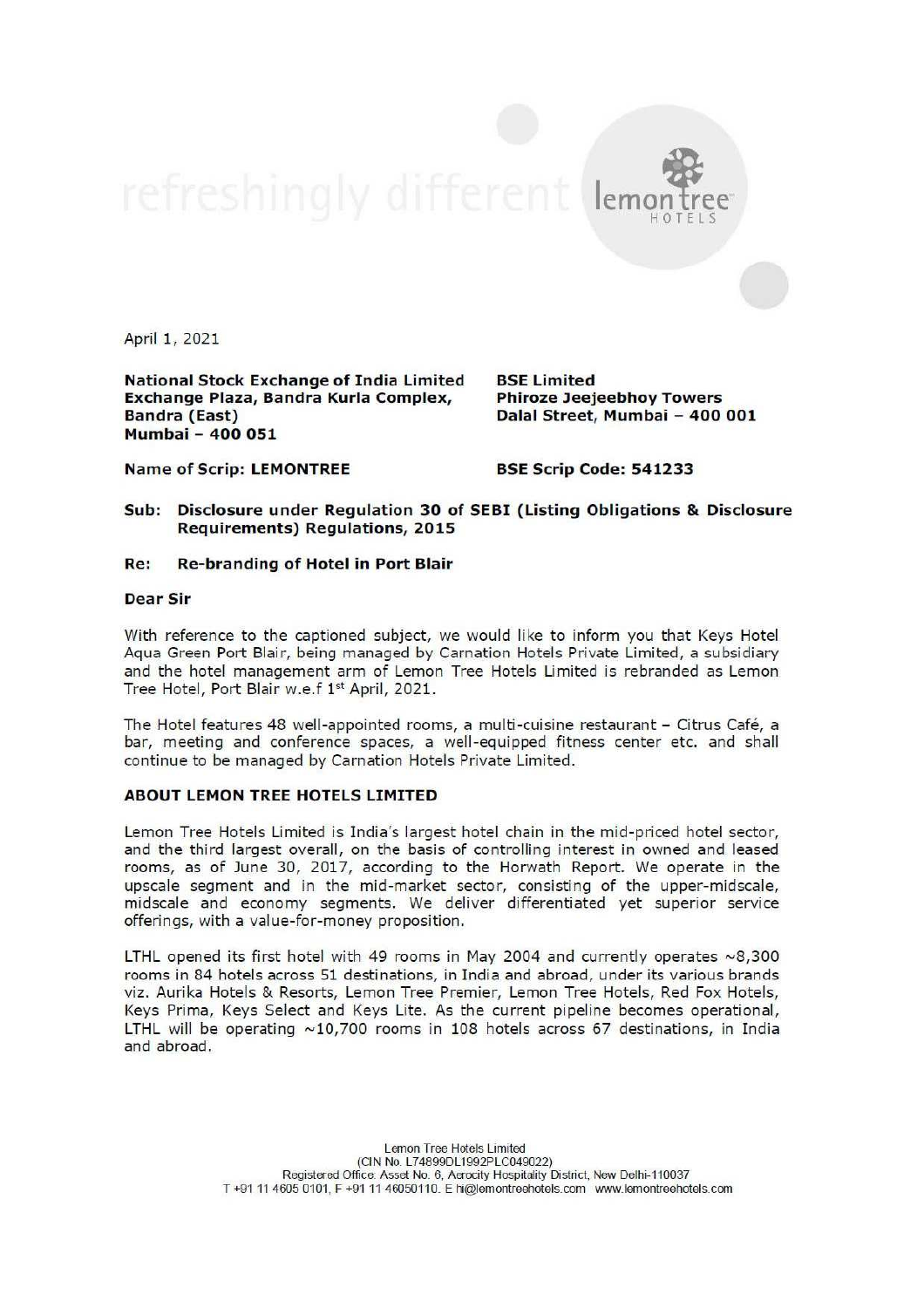lemon

April 1, 2021

National Stock Exchange of India Limited BSE Limited Exchange Plaza, Bandra Kurla Complex, Phiroze Jeejeebhoy Towers Bandra (East) Dalal Street, Mumbai - 400 001 Mumbai - 400 051

Name of Scrip: LEMONTREE BSE Scrip Code: 541233

Sub: Disclosure under Regulation 30 of SEBI (Listing Obligations & Disclosure Requirements) Regulations, 2015

## Re: Re-branding of Hotel in Port Blair

## Dear Sir

With reference to the captioned subject, we would like to inform you that Keys Hotel Aqua Green Port Blair, being managed by Carnation Hotels Private Limited, a subsidiary and the hotel management arm of Lemon Tree Hotels Limited is rebranded as Lemon Tree Hotel, Port Blair w.e.f 1<sup>st</sup> April, 2021.

The Hotel features 48 well-appointed rooms, a multi-cuisine restaurant - Citrus Café, a bar, meeting and conference spaces, a well-equipped fitness center etc. and shall continue to be managed by Carnation Hotels Private Limited.

## ABOUT LEMON TREE HOTELS LIMITED

Lemon Tree Hotels Limited is India's largest hotel chain in the mid-priced hotel sector, and the third largest overall, on the basis of controlling interest in owned and leased rooms, as of June 30, 2017, according to the Horwath Report. We operate in the upscale segment and in the mid-market sector, consisting of the upper-midscale, midscale and economy segments. We deliver differentiated yet superior service offerings, with a value-for-money proposition.

LTHL opened its first hotel with 49 rooms in May 2004 and currently operates ~8,300 rooms in 84 hotels across 51 destinations, in India and abroad, under its various brands viz. Aurika Hotels & Resorts, Lemon Tree Premier, Lemon Tree Hotels, Red Fox Hotels, Keys Prima, Keys Select and Keys Lite. As the current pipeline becomes operational, LTHL will be operating  $\sim$ 10,700 rooms in 108 hotels across 67 destinations, in India and abroad.